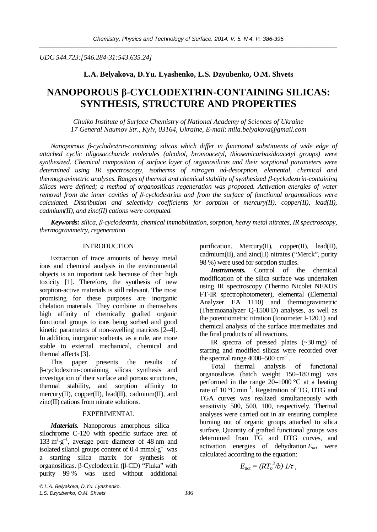*UDC 544.723:[546.284-31:543.635.24]* 

# **L.A. Belyakova, D.Yu. Lyashenko, L.S. Dzyubenko, O.M. Shvets**

# **NANOPOROUS ȕ**-**CYCLODEXTRIN-CONTAINING SILICAS: SYNTHESIS, STRUCTURE AND PROPERTIES**

*Chuiko Institute of Surface Chemistry of National Academy of Sciences of Ukraine 17 General Naumov Str., Kyiv, 03164, Ukraine, E-mail*: *[mila.belyakova@gmail.com](mailto:mila.belyakova@gmail.com)* 

*Nanoporous* E*-cyclodextrin-containing silicas which differ in functional substituents of wide edge of attached cyclic oligosaccharide molecules (alcohol, bromoacetyl, thiosemicarbazidoacetyl groups) were synthesized. ɋhemical composition of surface layer of organosilicas and their sorptional parameters were determined using IR spectroscopy, isotherms of nitrogen ad-desorption, elemental, chemical and thermogravimetric analyses. Ranges of thermal and chemical stability of synthesized B-cyclodextrin-containing silicas were defined; a method of organosilicas regeneration was proposed. Activation energies of water removal from the inner cavities of β-cyclodextrins and from the surface of functional organosilicas were calculated. Distribution and selectivity coefficients for sorption of mercury(II), copper(II), lead(II), cadmium(II), and zinc(II) cations were computed.* 

*Keywords: silica, ȕ-cyclodextrin, chemical immobilization, sorption, heavy metal nitrates, IR spectroscopy, thermogravimetry, regeneration* 

#### INTRODUCTION

Extraction of trace amounts of heavy metal ions and chemical analysis in the environmental objects is an important task because of their high toxicity [1]. Therefore, the synthesis of new sorption-active materials is still relevant. The most promising for these purposes are inorganic chelation materials. They combine in themselves high affinity of chemically grafted organic functional groups to ions being sorbed and good kinetic parameters of non-swelling matrices [2–4]. In addition, inorganic sorbents, as a rule, are more stable to external mechanical, chemical and thermal affects [3].

This paper presents the results of ȕ-cyclodextrin-containing silicas synthesis and investigation of their surface and porous structures, thermal stability, and sorption affinity to mercury(II), copper(II), lead(II), cadmium(II), and zinc(II) cations from nitrate solutions.

## EXPERIMENTAL

*Materials.* Nanoporous amorphous silica – silochrome C-120 with specific surface area of  $133 \text{ m}^2 \text{·g}^{-1}$ , average pore diameter of 48 nm and isolated silanol groups content of  $0.4 \text{ mmol·g}^{-1}$  was a starting silica matrix for synthesis of organosilicas. ȕ-Cyclodextrin (ȕ-CD) "Fluka" with purity 99 % was used without additional

purification. Mercury(II), copper(II), lead(II), cadmium(II), and zinc(II) nitrates ("Merck", purity 98 %) were used for sorption studies.

*Instruments.* Control of the chemical modification of the silica surface was undertaken using IR spectroscopy (Thermo Nicolet NEXUS FT-IR spectrophotometer), elemental (Elemental Analyzer EA 1110) and thermogravimetric (Thermoanalyzer Q-1500 D) analyses, as well as the potentiometric titration (Ionometer I-120.1) and chemical analysis of the surface intermediates and the final products of all reactions.

IR spectra of pressed plates (~30 mg) of starting and modified silicas were recorded over the spectral range  $4000 - 500$  cm<sup>-1</sup>.

Total thermal analysis of functional organosilicas (batch weight 150–180 mg) was performed in the range  $20-1000$  °C at a heating rate of 10 °C·min<sup>-1</sup>. Registration of TG, DTG and TGA curves was realized simultaneously with sensitivity 500, 500, 100, respectively. Thermal analyses were carried out in air ensuring complete burning out of organic groups attached to silica surface. Quantity of grafted functional groups was determined from TG and DTG curves, and activation energies of dehydration *Eact* were calculated according to the equation:

$$
E_{act} = (RT_o^2/b) \cdot 1/\tau \; ,
$$

*© L.A. Belyakova, D.Yu. Lyashenko, L.S. Dzyubenko, O.M. Shvets* 386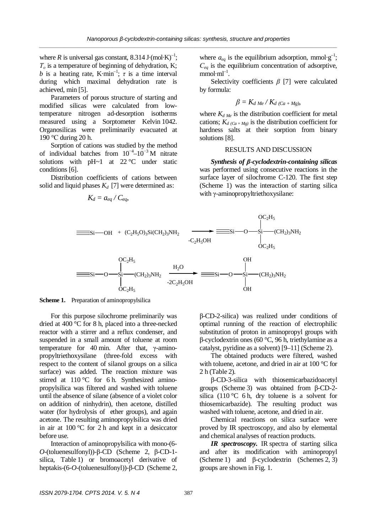where *R* is universal gas constant,  $8.314 \text{ J} \cdot (\text{mol} \cdot \text{K})^{-1}$ ;  $T<sub>o</sub>$  is a temperature of beginning of dehydration, K; *b* is a heating rate, K·min<sup>-1</sup>;  $\tau$  is a time interval during which maximal dehydration rate is achieved, min [5].

Parameters of porous structure of starting and modified silicas were calculated from lowtemperature nitrogen ad-desorption isotherms measured using a Sorptometer Kelvin 1042. Organosilicas were preliminarily evacuated at 190  $\degree$ C during 20 h.

Sorption of cations was studied by the method of individual batches from  $10^{-4}$ - $10^{-3}$  M nitrate solutions with  $pH~1$  at 22 °C under static conditions [6].

Distribution coefficients of cations between solid and liquid phases  $K_d$  [7] were determined as:

$$
K_d = a_{eq} / C_{eq},
$$

where  $a_{eq}$  is the equilibrium adsorption, mmol·g<sup>-1</sup>;  $C_{ea}$  is the equilibrium concentration of adsorptive,  $mmol·ml^{-1}$ .

Selectivity coefficients  $\beta$  [7] were calculated by formula:

$$
\beta = K_{d \text{ Me}} / K_{d \text{ (Ca + Mg)}},
$$

where  $K_{d,Me}$  is the distribution coefficient for metal cations;  $K_{d/(Ca+Me)}$  is the distribution coefficient for hardness salts at their sorption from binary solutions [8].

## RESULTS AND DISCUSSION

*Synthesis of ȕ-cyclodextrin-containing silicas* was performed using consecutive reactions in the surface layer of silochrome C-120. The first step (Scheme 1) was the interaction of starting silica with  $\gamma$ -aminopropyltriethoxysilane:



**Scheme 1.** Preparation of aminopropylsilica

For this purpose silochrome preliminarily was dried at 400 °C for 8 h, placed into a three-necked reactor with a stirrer and a reflux condenser, and suspended in a small amount of toluene at room temperature for 40 min. After that,  $\gamma$ -aminopropyltriethoxysilane (three-fold excess with respect to the content of silanol groups on a silica surface) was added. The reaction mixture was stirred at 110 °C for 6 h. Synthesized aminopropylsilica was filtered and washed with toluene until the absence of silane (absence of a violet color on addition of ninhydrin), then acetone, distilled water (for hydrolysis of ether groups), and again acetone. The resulting aminopropylsilica was dried in air at 100 °C for 2 h and kept in a desiccator before use.

Interaction of aminopropylsilica with mono-(6-  $O$ -(toluenesulfonyl))- $\beta$ -CD (Scheme 2,  $\beta$ -CD-1silica, Table 1) or bromoacetyl derivative of heptakis-(6-*O*-(toluenesulfonyl))-β-CD (Scheme 2, ȕ-CD-2-silica) was realized under conditions of optimal running of the reaction of electrophilic substitution of proton in aminopropyl groups with  $\beta$ -cyclodextrin ones (60 °C, 96 h, triethylamine as a catalyst, pyridine as a solvent) [9–11] (Scheme 2).

The obtained products were filtered, washed with toluene, acetone, and dried in air at 100 °C for 2 h (Table 2).

ȕ-CD-3-silica with thiosemicarbazidoacetyl groups (Scheme 3) was obtained from  $\beta$ -CD-2silica (110 °C 6 h, dry toluene is a solvent for thiosemicarbazide). The resulting product was washed with toluene, acetone, and dried in air.

Chemical reactions on silica surface were proved by IR spectroscopy, and also by elemental and chemical analyses of reaction products.

*IR spectroscopy.* IR spectra of starting silica and after its modification with aminopropyl (Scheme 1) and  $\beta$ -cyclodextrin (Schemes 2, 3) groups are shown in Fig. 1.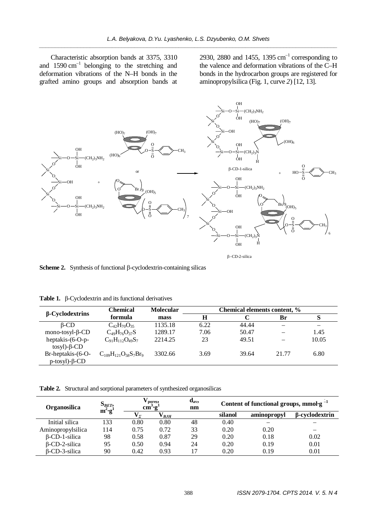Characteristic absorption bands at 3375, 3310 and  $1590 \text{ cm}^{-1}$  belonging to the stretching and deformation vibrations of the N–H bonds in the grafted amino groups and absorption bands at

2930, 2880 and 1455, 1395  $cm^{-1}$  corresponding to the valence and deformation vibrations of the C–H bonds in the hydrocarbon groups are registered for aminopropylsilica (Fig. 1, curve *2*) [12, 13].



**Scheme 2.** Synthesis of functional  $\beta$ -cyclodextrin-containing silicas

|  |  | <b>Table 1.</b> $\beta$ -Cyclodextrin and its functional derivatives |  |
|--|--|----------------------------------------------------------------------|--|
|--|--|----------------------------------------------------------------------|--|

| $\beta$ -Cyclodextrins                        | <b>Chemical</b>               | <b>Molecular</b> | Chemical elements content, % |       |       |       |
|-----------------------------------------------|-------------------------------|------------------|------------------------------|-------|-------|-------|
|                                               | formula                       | mass             | Н                            |       | Br    | S     |
| $\beta$ -CD                                   | $C_{42}H_{70}O_{35}$          | 1135.18          | 6.22                         | 44.44 |       |       |
| mono-tosyl- $\beta$ -CD                       | $C_{49}H_{76}O_{37}S$         | 1289.17          | 7.06                         | 50.47 |       | 1.45  |
| heptakis-(6-O-p-<br>$tosyl$ - $\beta$ -CD     | $C_{91}H_{112}O_{49}S_7$      | 2214.25          | 23                           | 49.51 |       | 10.05 |
| Br-heptakis-(6-O-<br>$p$ -tosyl)- $\beta$ -CD | $C_{109}H_{121}O_{58}S_7Br_9$ | 3302.66          | 3.69                         | 39.64 | 21.77 | 6.80  |

**Table 2.** Structural and sorptional parameters of synthesized organosilicas

| $S_{BET}$<br>Organosilica |           |         | pores,<br>$cm$ $\cdot$ $g$ |    | Content of functional groups, mmol-g <sup>-1</sup> |             |                       |
|---------------------------|-----------|---------|----------------------------|----|----------------------------------------------------|-------------|-----------------------|
|                           | $m^2 g^1$ | $V_{r}$ | ${\rm V}_{\it BH}$         |    | silanol                                            | aminopropyl | <b>B-cyclodextrin</b> |
| Initial silica            | 133       | 0.80    | 0.80                       | 48 | 0.40                                               |             |                       |
| Aminopropylsilica         | 14        | 0.75    | 0.72                       | 33 | 0.20                                               | 0.20        |                       |
| $\beta$ -CD-1-silica      | 98        | 0.58    | 0.87                       | 29 | 0.20                                               | 0.18        | 0.02                  |
| $\beta$ -CD-2-silica      | 95        | 0.50    | 0.94                       | 24 | 0.20                                               | 0.19        | 0.01                  |
| B-CD-3-silica             | 90        | 0.42    | 0.93                       |    | 0.20                                               | 0.19        | 0.01                  |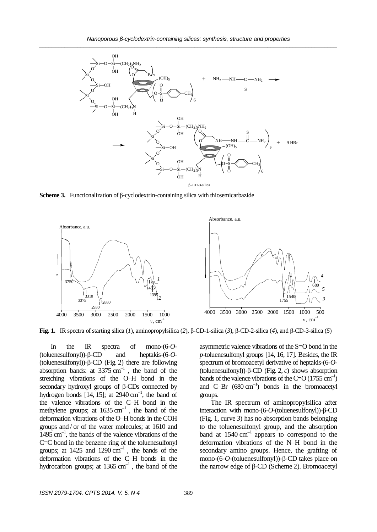

**Scheme 3.** Functionalization of  $\beta$ -cyclodextrin-containing silica with thiosemicarbazide



**Fig. 1.** IR spectra of starting silica (*1*), aminopropylsilica (*2*),  $\beta$ -CD-1-silica (*3*),  $\beta$ -CD-2-silica (*4*), and  $\beta$ -CD-3-silica (*5*)

In the IR spectra of mono-(6-*O*-  $(toluenesulfonyl)$ - $\beta$ -CD and heptakis- $(6-O-$ (toluenesulfonyl))- $\beta$ -CD (Fig. 2) there are following absorption bands: at  $3375 \text{ cm}^{-1}$ , the band of the stretching vibrations of the O–H bond in the secondary hydroxyl groups of  $\beta$ -CDs connected by hydrogen bonds [14, 15]; at  $2940 \text{ cm}^{-1}$ , the band of the valence vibrations of the C–H bond in the methylene groups; at  $1635 \text{ cm}^{-1}$ , the band of the deformation vibrations of the O–H bonds in the COH groups and / or of the water molecules; at 1610 and  $1495 \text{ cm}^{-1}$ , the bands of the valence vibrations of the C=C bond in the benzene ring of the toluenesulfonyl groups; at  $1425$  and  $1290 \text{ cm}^{-1}$ , the bands of the deformation vibrations of the C–H bonds in the hydrocarbon groups; at  $1365 \text{ cm}^{-1}$ , the band of the

asymmetric valence vibrations of the S=O bond in the *p*-toluenesulfonyl groups [14, 16, 17]. Besides, the IR spectrum of bromoacetyl derivative of heptakis-(6-*O*- (toluenesulfonyl))- $\beta$ -CD (Fig. 2, *c*) shows absorption bands of the valence vibrations of the C=O (1755 cm<sup>-1</sup>) and C–Br  $(680 \text{ cm}^{-1})$  bonds in the bromoacetyl groups.

The IR spectrum of aminopropylsilica after interaction with mono- $(6-O$ -(toluenesulfonyl))- $\beta$ -CD (Fig. 1, curve *3*) has no absorption bands belonging to the toluenesulfonyl group, and the absorption band at  $1540 \text{ cm}^{-1}$  appears to correspond to the deformation vibrations of the N–H bond in the secondary amino groups. Hence, the grafting of mono- $(6$ - $O$ -(toluenesulfonyl))- $\beta$ -CD takes place on the narrow edge of  $\beta$ -CD (Scheme 2). Bromoacetyl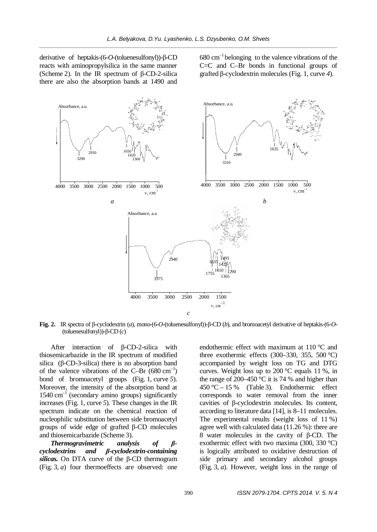derivative of heptakis-(6-*O*-(toluenesulfonyl))-β-CD reacts with aminopropylsilica in the same manner (Scheme 2). In the IR spectrum of  $\beta$ -CD-2-silica there are also the absorption bands at 1490 and

 $680 \text{ cm}^{-1}$  belonging to the valence vibrations of the C=C and C–Br bonds in functional groups of grafted ȕ-cyclodextrin molecules (Fig. 1, curve *4*).



**Fig. 2.** IR spectra of β-cyclodextrin (*a*), mono-(6-*O*-(toluenesulfonyl))-β-CD (*b*), and bromoacetyl derivative of heptakis-(6-*O*- $(toluenesulfonyl)$ - $\beta$ -CD  $(c)$ 

After interaction of  $\beta$ -CD-2-silica with thiosemicarbazide in the IR spectrum of modified silica  $(\beta$ -CD-3-silica) there is no absorption band of the valence vibrations of the C–Br  $(680 \text{ cm}^{-1})$ bond of bromoacetyl groups (Fig. 1, curve *5*). Moreover, the intensity of the absorption band at  $1540 \text{ cm}^{-1}$  (secondary amino groups) significantly increases (Fig. 1, curve *5*). These changes in the IR spectrum indicate on the chemical reaction of nucleophilic substitution between side bromoacetyl groups of wide edge of grafted ȕ-CD molecules and thiosemicarbazide (Scheme 3).

*Thermogravimetric analysis of* β*cyclodextrins and ȕ-cyclodextrin-containing*  silicas. On DTA curve of the  $\beta$ -CD thermogram (Fig. 3, *a*) four thermoeffects are observed: one endothermic effect with maximum at 110 °C and three exothermic effects (300–330, 355, 500 °C) accompanied by weight loss on TG and DTG curves. Weight loss up to 200 °C equals 11 %, in the range of 200–450  $\degree$ C it is 74 % and higher than 450 °C – 15 % (Table 3). Endothermic effect corresponds to water removal from the inner cavities of  $\beta$ -cyclodextrin molecules. Its content, according to literature data [14], is 8–11 molecules. The experimental results (weight loss of 11 %) agree well with calculated data (11.26 %): there are 8 water molecules in the cavity of  $\beta$ -CD. The exothermic effect with two maxima (300, 330 °C) is logically attributed to oxidative destruction of side primary and secondary alcohol groups (Fig. 3, *a*). However, weight loss in the range of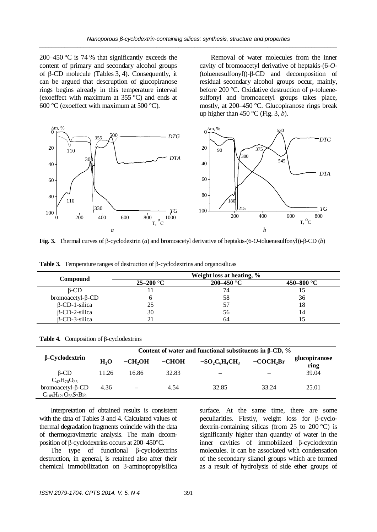200–450 °C is 74 % that significantly exceeds the content of primary and secondary alcohol groups of B-CD molecule (Tables 3, 4). Consequently, it can be argued that descruption of glucopiranose rings begins already in this temperature interval (exoeffect with maximum at 355 °C) and ends at 600 °C (exoeffect with maximum at 500 °C).

Removal of water molecules from the inner cavity of bromoacetyl derivative of heptakis-(6-*O*-  $(toluenessulfonyl)$ )- $\beta$ -CD and decomposition of residual secondary alcohol groups occur, mainly, before 200 °C. Oxidative destruction of *p-*toluenesulfonyl and bromoacetyl groups takes place, mostly, at 200–450 °C. Glucopiranose rings break up higher than 450 °C (Fig. 3, *b*).



**Fig. 3.** Thermal curves of B-cyclodextrin (*a*) and bromoacetyl derivative of heptakis-(6-*O*-toluenesulfonyl))-B-CD (*b*)

**Table 3.** Temperature ranges of destruction of β-cyclodextrins and organosilicas

|                             |               | Weight loss at heating, % |            |
|-----------------------------|---------------|---------------------------|------------|
| <b>Compound</b>             | $25 - 200$ °C | $200 - 450$ °C            | 450–800 °C |
| $\beta$ -CD                 |               | 74                        |            |
| $b$ romoacetyl- $\beta$ -CD |               | 58                        | 36         |
| $\beta$ -CD-1-silica        | 25            |                           | 18         |
| $\beta$ -CD-2-silica        | 30            | 56                        | 14         |
| $\beta$ -CD-3-silica        |               | 64                        |            |

| <b>Table 4.</b> Composition of $\beta$ -cyclodextrins |  |
|-------------------------------------------------------|--|
|-------------------------------------------------------|--|

|                               | Content of water and functional substituents in $\beta$ -CD, % |          |         |                          |            |                       |
|-------------------------------|----------------------------------------------------------------|----------|---------|--------------------------|------------|-----------------------|
| $\beta$ -Cyclodextrin         | H <sub>2</sub> O                                               | $-CH2OH$ | $-CHOH$ | $-SO2C6H4CH3$            | $-COCH2Br$ | glucopiranose<br>ring |
| $\beta$ -CD                   | 11.26                                                          | 16.86    | 32.83   | $\overline{\phantom{0}}$ |            | 39.04                 |
| $C_{42}H_{70}O_{35}$          |                                                                |          |         |                          |            |                       |
| $b$ romoacetyl- $\beta$ -CD   | 4.36                                                           |          | 4.54    | 32.85                    | 33.24      | 25.01                 |
| $C_{109}H_{121}O_{58}S_7Br_9$ |                                                                |          |         |                          |            |                       |

Interpretation of obtained results is consistent with the data of Tables 3 and 4. Calculated values of thermal degradation fragments coincide with the data of thermogravimetric analysis. The main decomposition of  $\beta$ -cyclodextrins occurs at 200–450°C.

The type of functional  $\beta$ -cyclodextrins destruction, in general, is retained also after their chemical immobilization on 3-aminopropylsilica surface. At the same time, there are some peculiarities. Firstly, weight loss for B-cyclodextrin-containing silicas (from 25 to 200  $^{\circ}$ C) is significantly higher than quantity of water in the inner cavities of immobilized ȕ-cyclodextrin molecules. It can be associated with condensation of the secondary silanol groups which are formed as a result of hydrolysis of side ether groups of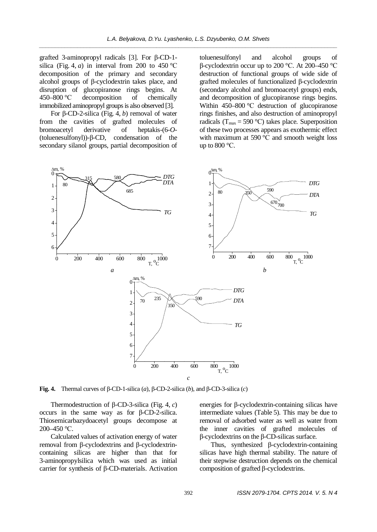grafted 3-aminopropyl radicals  $[3]$ . For  $\beta$ -CD-1silica (Fig. 4, *a*) in interval from 200 to 450 °C decomposition of the primary and secondary alcohol groups of  $\beta$ -cyclodextrin takes place, and disruption of glucopiranose rings begins. At 450–800 °C decomposition of chemically immobilized aminopropyl groups is also observed [3].

For  $\beta$ -CD-2-silica (Fig. 4, *b*) removal of water from the cavities of grafted molecules of bromoacetyl derivative of heptakis-(6-*O*-  $(toluenessulfonyl)$ )- $\beta$ -CD, condensation of the secondary silanol groups, partial decomposition of toluenesulfonyl and alcohol groups of  $\beta$ -cyclodextrin occur up to 200 °C. At 200–450 °C destruction of functional groups of wide side of grafted molecules of functionalized ȕ-cyclodextrin (secondary alcohol and bromoacetyl groups) ends, and decomposition of glucopiranose rings begins. Within  $450-800$  °C destruction of glucopiranose rings finishes, and also destruction of aminopropyl radicals ( $T_{\text{max}} = 590 \degree C$ ) takes place. Superposition of these two processes appears as exothermic effect with maximum at 590  $^{\circ}$ C and smooth weight loss up to  $800^{\circ}$ C.



**Fig. 4.** Thermal curves of  $\beta$ -CD-1-silica (*a*),  $\beta$ -CD-2-silica (*b*), and  $\beta$ -CD-3-silica (*c*)

Thermodestruction of ȕ-CD-3-silica (Fig. 4, *c*) occurs in the same way as for  $\beta$ -CD-2-silica. Thiosemicarbazydoacetyl groups decompose at  $200-450$  °C.

Calculated values of activation energy of water removal from  $\beta$ -cyclodextrins and  $\beta$ -cyclodextrincontaining silicas are higher than that for 3-aminopropylsilica which was used as initial carrier for synthesis of  $\beta$ -CD-materials. Activation energies for  $\beta$ -cyclodextrin-containing silicas have intermediate values (Table 5). This may be due to removal of adsorbed water as well as water from the inner cavities of grafted molecules of  $\beta$ -cyclodextrins on the  $\beta$ -CD-silicas surface.

Thus, synthesized  $\beta$ -cyclodextrin-containing silicas have high thermal stability. The nature of their stepwise destruction depends on the chemical composition of grafted  $\beta$ -cyclodextrins.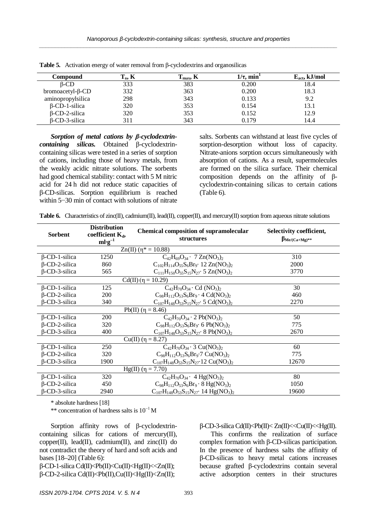| Compound                    | $T_o, K$ | $\mathbf{I}_{\text{max}}$ , K | $1/\tau$ , min <sup>1</sup> | $E_{act}$ , kJ/mol |
|-----------------------------|----------|-------------------------------|-----------------------------|--------------------|
| $B$ -CD                     | 333      | 383                           | 0.200                       | 18.4               |
| $b$ romoacetyl- $\beta$ -CD | 332      | 363                           | 0.200                       | 18.3               |
| aminopropylsilica           | 298      | 343                           | 0.133                       | 9.2                |
| $\beta$ -CD-1-silica        | 320      | 353                           | 0.154                       | 13.1               |
| $\beta$ -CD-2-silica        | 320      | 353                           | 0.152                       | 12.9               |
| $B$ -CD-3-silica            | 311      | 343                           | 0.179                       | 14.4               |

**Table 5.** Activation energy of water removal from  $\beta$ -cyclodextrins and organosilicas

**Sorption of metal cations by** *β***-cyclodextrin***containing silicas.* Obtained ȕ-cyclodextrincontaining silicas were tested in a series of sorption of cations, including those of heavy metals, from the weakly acidic nitrate solutions. The sorbents had good chemical stability: contact with 5 M nitric acid for 24 h did not reduce static capacities of ȕ-CD-silicas. Sorption equilibrium is reached within  $5-30$  min of contact with solutions of nitrate

salts. Sorbents can withstand at least five cycles of sorption-desorption without loss of capacity. Nitrate-anions sorption occurs simultaneously with absorption of cations. As a result, supermolecules are formed on the silica surface. Their chemical composition depends on the affinity of  $\beta$ cyclodextrin-containing silicas to certain cations (Table 6).

|  |  |  |  |  | Table 6. Characteristics of zinc(II), cadmium(II), lead(II), copper(II), and mercury(II) sorption from aqueous nitrate solutions |
|--|--|--|--|--|----------------------------------------------------------------------------------------------------------------------------------|
|--|--|--|--|--|----------------------------------------------------------------------------------------------------------------------------------|

| Sorbent              | <b>Distribution</b><br>coefficient $K_d$ ,<br>$ml·g-1$ | <b>Chemical composition of supramolecular</b><br>structures             | Selectivity coefficient,<br>$\beta_{Me/(Ca+Mg)^{**}}$ |
|----------------------|--------------------------------------------------------|-------------------------------------------------------------------------|-------------------------------------------------------|
|                      |                                                        | $Zn(II)$ ( $\eta^* = 10.88$ )                                           |                                                       |
| $\beta$ -CD-1-silica | 1250                                                   | $C_{42}H_{69}O_{34}$ · 7 Zn(NO <sub>3</sub> ) <sub>2</sub>              | 310                                                   |
| β-CD-2-silica        | 860                                                    | $C_{102}H_{114}O_{55}S_6Br_9$ 12 $Zn(NO_3)_2$                           | 2000                                                  |
| $\beta$ -CD-3-silica | 565                                                    | $C_{111}H_{150}O_{55}S_{15}N_{27}$ 5 Zn(NO <sub>3</sub> ) <sub>2</sub>  | 3770                                                  |
|                      |                                                        | $Cd(II)(\eta = 10.29)$                                                  |                                                       |
| $\beta$ -CD-1-silica | 125                                                    | $C_{42}H_{70}O_{34}\cdot$ Cd (NO <sub>3</sub> ) <sub>2</sub>            | 30                                                    |
| $\beta$ -CD-2-silica | 200                                                    | $C_{98}H_{112}O_{53}S_6Br_9 \cdot 4 Cd(NO_3)_2$                         | 460                                                   |
| β-CD-3-silica        | 340                                                    | $C_{107}H_{148}O_{53}S_{15}N_{27}$ 5 Cd(NO <sub>3</sub> ) <sub>2</sub>  | 2270                                                  |
|                      |                                                        | Pb(II) $(\eta = 8.46)$                                                  |                                                       |
| $\beta$ -CD-1-silica | 200                                                    | $C_{42}H_{70}O_{34} \cdot 2 Pb(NO_3)_2$                                 | 50                                                    |
| $\beta$ -CD-2-silica | 320                                                    | $C_{98}H_{112}O_{53}S_6Br_9$ 6 Pb(NO <sub>3</sub> ) <sub>2</sub>        | 775                                                   |
| $\beta$ -CD-3-silica | 400                                                    | $C_{107}H_{148}O_{53}S_{15}N_{27}$ 8 Pb(NO <sub>3</sub> ) <sub>2</sub>  | 2670                                                  |
|                      |                                                        | Cu(II) $(\eta = 8.27)$                                                  |                                                       |
| $\beta$ -CD-1-silica | 250                                                    | $C_{42}H_{70}O_{34} \cdot 3 \text{ Cu}(\text{NO}_3)$                    | 60                                                    |
| $\beta$ -CD-2-silica | 320                                                    | $C_{98}H_{112}O_{53}S_6Br_9.7 Cu(NO_3)_2$                               | 775                                                   |
| β-CD-3-silica        | 1900                                                   | $C_{107}H_{148}O_{53}S_{15}N_{27}$ 12 $Cu(NO_3)_2$                      | 12670                                                 |
|                      |                                                        | $Hg(II)$ (η = 7.70)                                                     |                                                       |
| $\beta$ -CD-1-silica | 320                                                    | $C_{42}H_{70}O_{34}$ · 4 Hg(NO <sub>3</sub> ) <sub>2</sub>              | 80                                                    |
| $\beta$ -CD-2-silica | 450                                                    | $C_{98}H_{112}O_{53}S_6Br_9 \cdot 8 Hg(NO_3)_2$                         | 1050                                                  |
| β-CD-3-silica        | 2940                                                   | $C_{107}H_{148}O_{53}S_{15}N_{27}$ 14 Hg(NO <sub>3</sub> ) <sub>2</sub> | 19600                                                 |

\* absolute hardness [18]

\*\* concentration of hardness salts is  $10^{-1}$  M

Sorption affinity rows of  $\beta$ -cyclodextrincontaining silicas for cations of mercury(II),  $copper(H)$ , lead(II), cadmium(II), and zinc(II) do not contradict the theory of hard and soft acids and bases [18–20] (Table 6):

ȕ-CD-1-silica Cd(II)<Pb(II)<Cu(II)<Hg(II)<<Zn(II); ȕ-CD-2-silica Cd(II)<Pb(II),Cu(II)<Hg(II)<Zn(II); ȕ-CD-3-silica Cd(II)<Pb(II)< Zn(II)<<Cu(II)<<Hg(II).

This confirms the realization of surface complex formation with  $\beta$ -CD-silicas participation. In the presence of hardness salts the affinity of ȕ-CD-silicas to heavy metal cations increases because grafted  $\beta$ -cyclodextrins contain several active adsorption centers in their structures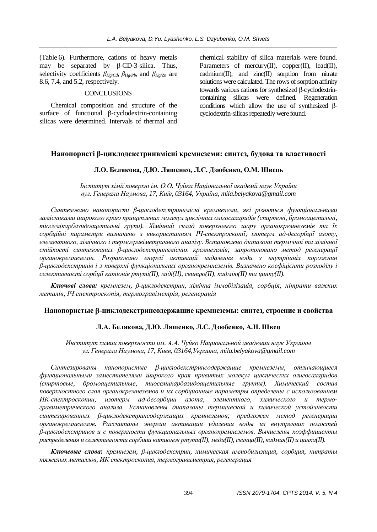(Table 6). Furthermore, cations of heavy metals may be separated by  $\beta$ -CD-3-silica. Thus, selectivity coefficients  $\beta_{Hg/Cd}$ ,  $\beta_{Hg/Dh}$  and  $\beta_{Hg/Dn}$  are 8.6, 7.4, and 5.2, respectively.

## **CONCLUSIONS**

Chemical composition and structure of the surface of functional  $\beta$ -cyclodextrin-containing silicas were determined. Intervals of thermal and

chemical stability of silica materials were found. Parameters of mercury(II), copper(II), lead(II), cadmium(II), and zinc(II) sorption from nitrate solutions were calculated. The rows of sorption affinity towards various cations for synthesized  $\beta$ -cyclodextrincontaining silicas were defined. Regeneration conditions which allow the use of synthesized  $\beta$ cyclodextrin-silicas repeatedly were found.

## **ɇɚɧɨɩɨɪɢɫɬɿȕɰɢɤɥɨɞɟɤɫɬɪɢɧɜɦɿɫɧɿɤɪɟɦɧɟɡɟɦɢ: ɫɢɧɬɟɡ, ɛɭɞɨɜɚɬɚɜɥɚɫɬɢɜɨɫɬɿ**

#### $\Pi$ **.О.** Бєлякова, Д.Ю. Ляшенко, Л.С. Дзюбенко, О.М. Швець

*ȱɧɫɬɢɬɭɬɯɿɦɿʀɩɨɜɟɪɯɧɿɿɦ. ɈɈ. ɑɭɣɤɚɇɚɰɿɨɧɚɥɶɧɨʀɚɤɚɞɟɦɿʀɧɚɭɤɍɤɪɚʀɧɢ ɜɭɥ. Ƚɟɧɟɪɚɥɚɇɚɭɦɨɜɚ, 17, Ʉɢʀɜ, 03164, ɍɤɪɚʀɧɚ, mila.belyakova@gmail.com* 

Синтезовано нанопористі *β*-циклодекстринвмісні кремнеземи, які різняться функціональними замісниками широкого краю пришеплених молекул шиклічних олігосахаридів (спиртові, бромоаиетильні, тіосемікарбазидоацетильні групи). Хімічний склад поверхневого шару органокремнеземів та їх сорбийні параметри визначено з використанням IЧ-спектроскопії, ізотерм ад-десорбиїї азоту, елементного, хімічного і термогравіметричного аналізу. Встановлено діапазони термічної та хімічної стійкості синтезованих β-циклодекстринвмісних кремнеземів; запропоновано метод регенерації **фрганокремнеземів.** Розраховано енергії активації видалення води з внутрішніх порожнин  $β$ -циклодекстринів і з поверхні функціональних органокремнеземів. Визначено коефіцієнти розподілу і *cелективності сорбції катіонів ртуті(II), міді(II), свинцю(II), кадмію(II) та цинку(II).* 

Kлючові слова: кремнезем,  $\beta$ -циклодекстрин, хімічна іммобілізація, сорбція, нітрати важких  $M$ еталів, IЧ спектроскопія, термогравіметрія, регенерація

#### **ɇɚɧɨɩɨɪɢɫɬɵɟ** E**ɰɢɤɥɨɞɟɤɫɬɪɢɧɫɨɞɟɪɠɚɳɢɟɤɪɟɦɧɟɡɟɦɵ: ɫɢɧɬɟɡ, ɫɬɪɨɟɧɢɟɢɫɜɨɣɫɬɜɚ**

## **ɅȺ. Ȼɟɥɹɤɨɜɚ, Ⱦɘ. Ʌɹɲɟɧɤɨ, Ʌɋ. Ⱦɡɸɛɟɧɤɨ, Ⱥɇ. ɒɜɟɰ**

Институт химии поверхности им. А.А. Чуйко Национальной академии наук Украины *ɭɥ. Ƚɟɧɟɪɚɥɚɇɚɭɦɨɜɚ, 17, Ʉɢɟɜ, 03164,ɍɤɪɚɢɧɚ, mila.belyakova@gmail.com*

*ɋɢɧɬɟɡɢɪɨɜɚɧɵ ɧɚɧɨɩɨɪɢɫɬɵɟ* E*ɰɢɤɥɨɞɟɤɫɬɪɢɧɫɨɞɟɪɠɚɳɢɟ ɤɪɟɦɧɟɡɟɦɵ, ɨɬɥɢɱɚɸɳɢɟɫɹ*  $\phi$ ункциональными заместителями широкого края привитых молекул циклических олигосахаридов (спиртовые, бромоацетильные, тиосемикарбазидоацетильные группы). Химический состав поверхностного слоя органокремнеземов и их сорбционные параметры определены с использованием ИК-спектроскопии, изотерм ад-десорбции азота, элементного, химического и термогравиметрического анализа. Установлены диапазоны термической и химической устойчивости синтезированных *β*-циклодекстринсодержащих кремнеземов; предложен метод регенерации  $opzanoxpemnesemoe$ . Рассчитаны энергии активации удаления воды из внутренних полостей  $β$ -циклодекстринов и с поверхности функциональных органокремнеземов. Вычислены коэффициенты  $\alpha$ аспределения и селективности сорбиии катионов ртути(II), меди(II), свиниа(II), кадмия(II) и иинка(II).

Kлючевые слова: кремнезем, β-циклодекстрин, химическая иммобилизация, сорбция, нитраты  $m$ яжелых металлов, ИК спектроскопия, термогравиметрия, регенерация